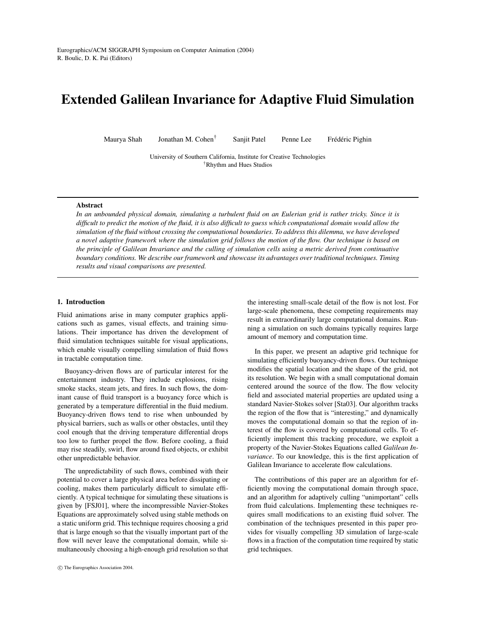# **Extended Galilean Invariance for Adaptive Fluid Simulation**

Maurya Shah Jonathan M. Cohen† Sanjit Patel Penne Lee Frédéric Pighin

University of Southern California, Institute for Creative Technologies †Rhythm and Hues Studios

#### **Abstract**

In an unbounded physical domain, simulating a turbulent fluid on an Eulerian grid is rather tricky. Since it is difficult to predict the motion of the fluid, it is also difficult to guess which computational domain would allow the simulation of the fluid without crossing the computational boundaries. To address this dilemma, we have developed a novel adaptive framework where the simulation grid follows the motion of the flow. Our technique is based on the principle of Galilean Invariance and the culling of simulation cells using a metric derived from continuative *boundary conditions. We describe our framework and showcase its advantages over traditional techniques. Timing results and visual comparisons are presented.*

# **1. Introduction**

Fluid animations arise in many computer graphics applications such as games, visual effects, and training simulations. Their importance has driven the development of fluid simulation techniques suitable for visual applications, which enable visually compelling simulation of fluid flows in tractable computation time.

Buoyancy-driven flows are of particular interest for the entertainment industry. They include explosions, rising smoke stacks, steam jets, and fires. In such flows, the dominant cause of fluid transport is a buoyancy force which is generated by a temperature differential in the fluid medium. Buoyancy-driven flows tend to rise when unbounded by physical barriers, such as walls or other obstacles, until they cool enough that the driving temperature differential drops too low to further propel the flow. Before cooling, a fluid may rise steadily, swirl, flow around fixed objects, or exhibit other unpredictable behavior.

The unpredictability of such flows, combined with their potential to cover a large physical area before dissipating or cooling, makes them particularly difficult to simulate efficiently. A typical technique for simulating these situations is given by [FSJ01], where the incompressible Navier-Stokes Equations are approximately solved using stable methods on a static uniform grid. This technique requires choosing a grid that is large enough so that the visually important part of the flow will never leave the computational domain, while simultaneously choosing a high-enough grid resolution so that

the interesting small-scale detail of the flow is not lost. For large-scale phenomena, these competing requirements may result in extraordinarily large computational domains. Running a simulation on such domains typically requires large amount of memory and computation time.

In this paper, we present an adaptive grid technique for simulating efficiently buoyancy-driven flows. Our technique modifies the spatial location and the shape of the grid, not its resolution. We begin with a small computational domain centered around the source of the flow. The flow velocity field and associated material properties are updated using a standard Navier-Stokes solver [Sta03]. Our algorithm tracks the region of the flow that is "interesting," and dynamically moves the computational domain so that the region of interest of the flow is covered by computational cells. To efficiently implement this tracking procedure, we exploit a property of the Navier-Stokes Equations called *Galilean Invariance*. To our knowledge, this is the first application of Galilean Invariance to accelerate flow calculations.

The contributions of this paper are an algorithm for efficiently moving the computational domain through space, and an algorithm for adaptively culling "unimportant" cells from fluid calculations. Implementing these techniques requires small modifications to an existing fluid solver. The combination of the techniques presented in this paper provides for visually compelling 3D simulation of large-scale flows in a fraction of the computation time required by static grid techniques.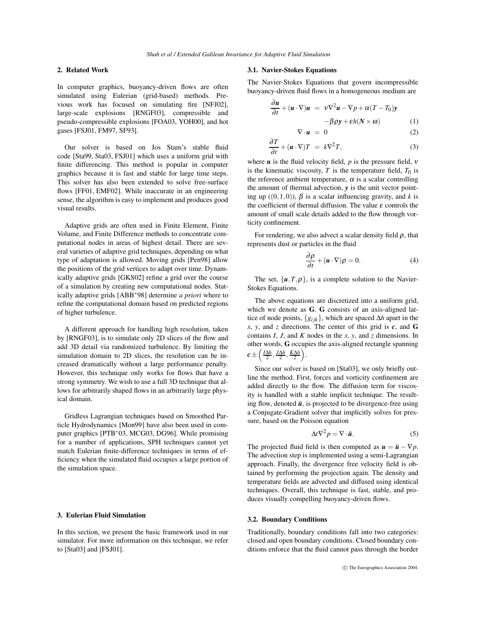# **2. Related Work**

In computer graphics, buoyancy-driven flows are often simulated using Eulerian (grid-based) methods. Previous work has focused on simulating fire [NFJ02], large-scale explosions [RNGF03], compressible and pseudo-compressible explosions [FOA03, YOH00], and hot gases [FSJ01, FM97, SF93].

Our solver is based on Jos Stam's stable fluid code [Sta99, Sta03, FSJ01] which uses a uniform grid with finite differencing. This method is popular in computer graphics because it is fast and stable for large time steps. This solver has also been extended to solve free-surface flows [FF01, EMF02]. While inaccurate in an engineering sense, the algorithm is easy to implement and produces good visual results.

Adaptive grids are often used in Finite Element, Finite Volume, and Finite Difference methods to concentrate computational nodes in areas of highest detail. There are several varieties of adaptive grid techniques, depending on what type of adaptation is allowed. Moving grids [Pen98] allow the positions of the grid vertices to adapt over time. Dynamically adaptive grids [GKS02] refine a grid over the course of a simulation by creating new computational nodes. Statically adaptive grids [ABB∗98] determine *a priori* where to refine the computational domain based on predicted regions of higher turbulence.

A different approach for handling high resolution, taken by [RNGF03], is to simulate only 2D slices of the flow and add 3D detail via randomized turbulence. By limiting the simulation domain to 2D slices, the resolution can be increased dramatically without a large performance penalty. However, this technique only works for flows that have a strong symmetry. We wish to use a full 3D technique that allows for arbitrarily shaped flows in an arbitrarily large physical domain.

Gridless Lagrangian techniques based on Smoothed Particle Hydrodynamics [Mon99] have also been used in computer graphics [PTB∗03, MCG03, DG96]. While promising for a number of applications, SPH techniques cannot yet match Eulerian finite-difference techniques in terms of efficiency when the simulated fluid occupies a large portion of the simulation space.

## **3. Eulerian Fluid Simulation**

In this section, we present the basic framework used in our simulator. For more information on this technique, we refer to [Sta03] and [FSJ01].

#### **3.1. Navier-Stokes Equations**

The Navier-Stokes Equations that govern incompressible buoyancy-driven fluid flows in a homogeneous medium are

$$
\frac{\partial \mathbf{u}}{\partial t} + (\mathbf{u} \cdot \nabla) \mathbf{u} = \mathbf{v} \nabla^2 \mathbf{u} - \nabla p + \alpha (T - T_0) \mathbf{y}
$$

$$
-\beta \rho \mathbf{y} + \varepsilon h (N \times \omega) \tag{1}
$$

$$
\nabla \cdot \boldsymbol{u} = 0 \tag{2}
$$

$$
\frac{\partial T}{\partial t} + (\mathbf{u} \cdot \nabla) T = k \nabla^2 T,
$$
\n(3)

where  $\boldsymbol{u}$  is the fluid velocity field,  $p$  is the pressure field,  $\boldsymbol{v}$ is the kinematic viscosity,  $T$  is the temperature field,  $T_0$  is the reference ambient temperature,  $\alpha$  is a scalar controlling the amount of thermal advection, *y* is the unit vector pointing up  $((0,1,0))$ ,  $\beta$  is a scalar influencing gravity, and *k* is the coefficient of thermal diffusion. The value  $\varepsilon$  controls the amount of small scale details added to the flow through vorticity confinement.

For rendering, we also advect a scalar density field  $\rho$ , that represents dust or particles in the fluid

$$
\frac{\partial \rho}{\partial t} + (\mathbf{u} \cdot \nabla)\rho = 0.
$$
 (4)

The set,  $\{u, T, \rho\}$ , is a complete solution to the Navier-Stokes Equations.

The above equations are discretized into a uniform grid, which we denote as **G**. **G** consists of an axis-aligned lattice of node points,  ${g_{ijk}}$ , which are spaced  $\Delta h$  apart in the *x*, *y*, and *z* directions. The center of this grid is *c*, and **G** contains *I*, *J*, and *K* nodes in the *x*, *y*, and *z* dimensions. In other words, **G** occupies the axis-aligned rectangle spanning  $c\pm\left(\frac{I\Delta h}{2},\frac{J\Delta h}{2},\frac{K\Delta h}{2}\right)$ .

Since our solver is based on [Sta03], we only briefly outline the method. First, forces and vorticity confinement are added directly to the flow. The diffusion term for viscosity is handled with a stable implicit technique. The resulting flow, denoted  $\tilde{u}$ , is projected to be divergence-free using a Conjugate-Gradient solver that implicitly solves for pressure, based on the Poisson equation

$$
\Delta t \nabla^2 p = \nabla \cdot \tilde{\boldsymbol{u}}.
$$
 (5)

The projected fluid field is then computed as  $u = \tilde{u} - \nabla p$ . The advection step is implemented using a semi-Lagrangian approach. Finally, the divergence free velocity field is obtained by performing the projection again. The density and temperature fields are advected and diffused using identical techniques. Overall, this technique is fast, stable, and produces visually compelling buoyancy-driven flows.

# **3.2. Boundary Conditions**

Traditionally, boundary conditions fall into two categories: closed and open boundary conditions. Closed boundary conditions enforce that the fluid cannot pass through the border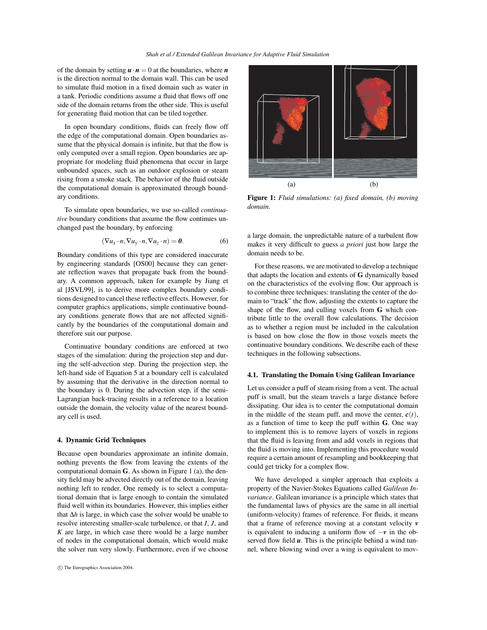of the domain by setting  $\mathbf{u} \cdot \mathbf{n} = 0$  at the boundaries, where  $\mathbf{n}$ is the direction normal to the domain wall. This can be used to simulate fluid motion in a fixed domain such as water in a tank. Periodic conditions assume a fluid that flows off one side of the domain returns from the other side. This is useful for generating fluid motion that can be tiled together.

In open boundary conditions, fluids can freely flow off the edge of the computational domain. Open boundaries assume that the physical domain is infinite, but that the flow is only computed over a small region. Open boundaries are appropriate for modeling fluid phenomena that occur in large unbounded spaces, such as an outdoor explosion or steam rising from a smoke stack. The behavior of the fluid outside the computational domain is approximated through boundary conditions.

To simulate open boundaries, we use so-called *continuative* boundary conditions that assume the flow continues unchanged past the boundary, by enforcing

$$
(\nabla u_x \cdot n, \nabla u_y \cdot n, \nabla u_z \cdot n) = \mathbf{0}.
$$
 (6)

Boundary conditions of this type are considered inaccurate by engineering standards [OS00] because they can generate reflection waves that propagate back from the boundary. A common approach, taken for example by Jiang et al [JSVL99], is to derive more complex boundary conditions designed to cancel these reflective effects. However, for computer graphics applications, simple continuative boundary conditions generate flows that are not affected significantly by the boundaries of the computational domain and therefore suit our purpose.

Continuative boundary conditions are enforced at two stages of the simulation: during the projection step and during the self-advection step. During the projection step, the left-hand side of Equation 5 at a boundary cell is calculated by assuming that the derivative in the direction normal to the boundary is 0. During the advection step, if the semi-Lagrangian back-tracing results in a reference to a location outside the domain, the velocity value of the nearest boundary cell is used.

#### **4. Dynamic Grid Techniques**

Because open boundaries approximate an infinite domain, nothing prevents the flow from leaving the extents of the computational domain **G**. As shown in Figure 1 (a), the density field may be advected directly out of the domain, leaving nothing left to render. One remedy is to select a computational domain that is large enough to contain the simulated fluid well within its boundaries. However, this implies either that ∆*h* is large, in which case the solver would be unable to resolve interesting smaller-scale turbulence, or that *I*, *J*, and *K* are large, in which case there would be a large number of nodes in the computational domain, which would make the solver run very slowly. Furthermore, even if we choose



**Figure 1:** *Fluid simulations: (a) fixed domain, (b) moving domain.*

a large domain, the unpredictable nature of a turbulent flow makes it very difficult to guess *a priori* just how large the domain needs to be.

For these reasons, we are motivated to develop a technique that adapts the location and extents of **G** dynamically based on the characteristics of the evolving flow. Our approach is to combine three techniques: translating the center of the domain to "track" the flow, adjusting the extents to capture the shape of the flow, and culling voxels from **G** which contribute little to the overall flow calculations. The decision as to whether a region must be included in the calculation is based on how close the flow in those voxels meets the continuative boundary conditions. We describe each of these techniques in the following subsections.

#### **4.1. Translating the Domain Using Galilean Invariance**

Let us consider a puff of steam rising from a vent. The actual puff is small, but the steam travels a large distance before dissipating. Our idea is to center the computational domain in the middle of the steam puff, and move the center,  $c(t)$ , as a function of time to keep the puff within **G**. One way to implement this is to remove layers of voxels in regions that the fluid is leaving from and add voxels in regions that the fluid is moving into. Implementing this procedure would require a certain amount of resampling and bookkeeping that could get tricky for a complex flow.

We have developed a simpler approach that exploits a property of the Navier-Stokes Equations called *Galilean Invariance*. Galilean invariance is a principle which states that the fundamental laws of physics are the same in all inertial (uniform-velocity) frames of reference. For fluids, it means that a frame of reference moving at a constant velocity *v* is equivalent to inducing a uniform flow of −*v* in the observed flow field *u*. This is the principle behind a wind tunnel, where blowing wind over a wing is equivalent to mov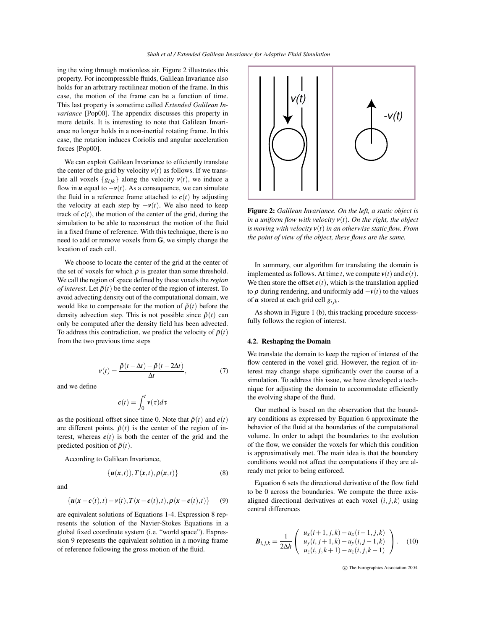ing the wing through motionless air. Figure 2 illustrates this property. For incompressible fluids, Galilean Invariance also holds for an arbitrary rectilinear motion of the frame. In this case, the motion of the frame can be a function of time. This last property is sometime called *Extended Galilean Invariance* [Pop00]. The appendix discusses this property in more details. It is interesting to note that Galilean Invariance no longer holds in a non-inertial rotating frame. In this case, the rotation induces Coriolis and angular acceleration forces [Pop00].

We can exploit Galilean Invariance to efficiently translate the center of the grid by velocity  $v(t)$  as follows. If we translate all voxels  $\{g_{ijk}\}\$ along the velocity  $v(t)$ , we induce a flow in  $u$  equal to  $-v(t)$ . As a consequence, we can simulate the fluid in a reference frame attached to  $c(t)$  by adjusting the velocity at each step by  $-v(t)$ . We also need to keep track of  $c(t)$ , the motion of the center of the grid, during the simulation to be able to reconstruct the motion of the fluid in a fixed frame of reference. With this technique, there is no need to add or remove voxels from **G**, we simply change the location of each cell.

We choose to locate the center of the grid at the center of the set of voxels for which  $\rho$  is greater than some threshold. We call the region of space defined by these voxels the *region of interest*. Let  $\bar{\rho}(t)$  be the center of the region of interest. To avoid advecting density out of the computational domain, we would like to compensate for the motion of  $\bar{\rho}(t)$  before the density advection step. This is not possible since  $\bar{\rho}(t)$  can only be computed after the density field has been advected. To address this contradiction, we predict the velocity of  $\bar{\rho}(t)$ from the two previous time steps

$$
v(t) = \frac{\bar{\rho}(t - \Delta t) - \bar{\rho}(t - 2\Delta t)}{\Delta t},\tag{7}
$$

and we define

$$
\pmb{c}(t)=\int_0^t \pmb{\nu}(\tau)d\tau
$$

as the positional offset since time 0. Note that  $\bar{\rho}(t)$  and  $c(t)$ are different points.  $\bar{\rho}(t)$  is the center of the region of interest, whereas  $c(t)$  is both the center of the grid and the predicted position of  $\bar{\rho}(t)$ .

According to Galilean Invariance,

$$
\{\boldsymbol{u}(\boldsymbol{x},t)), T(\boldsymbol{x},t), \rho(\boldsymbol{x},t)\}\tag{8}
$$

and

$$
\left\{ \boldsymbol{u}(\boldsymbol{x}-\boldsymbol{c}(t),t)-\boldsymbol{v}(t),\boldsymbol{T}(\boldsymbol{x}-\boldsymbol{c}(t),t),\boldsymbol{\rho}(\boldsymbol{x}-\boldsymbol{c}(t),t)\right\} \qquad(9)
$$

are equivalent solutions of Equations 1-4. Expression 8 represents the solution of the Navier-Stokes Equations in a global fixed coordinate system (i.e. "world space"). Expression 9 represents the equivalent solution in a moving frame of reference following the gross motion of the fluid.



**Figure 2:** *Galilean Invariance. On the left, a static object is in a uniform flow with velocity*  $v(t)$ *. On the right, the object is moving with velocity v*(*t*) *in an otherwise static flow. From the point of view of the object, these flows are the same.*

In summary, our algorithm for translating the domain is implemented as follows. At time *t*, we compute  $v(t)$  and  $c(t)$ . We then store the offset  $c(t)$ , which is the translation applied to  $\rho$  during rendering, and uniformly add  $-\nu(t)$  to the values of  $\boldsymbol{u}$  stored at each grid cell  $g_{ijk}$ .

As shown in Figure 1 (b), this tracking procedure successfully follows the region of interest.

# **4.2. Reshaping the Domain**

We translate the domain to keep the region of interest of the flow centered in the voxel grid. However, the region of interest may change shape significantly over the course of a simulation. To address this issue, we have developed a technique for adjusting the domain to accommodate efficiently the evolving shape of the fluid.

Our method is based on the observation that the boundary conditions as expressed by Equation 6 approximate the behavior of the fluid at the boundaries of the computational volume. In order to adapt the boundaries to the evolution of the flow, we consider the voxels for which this condition is approximatively met. The main idea is that the boundary conditions would not affect the computations if they are already met prior to being enforced.

Equation 6 sets the directional derivative of the flow field to be 0 across the boundaries. We compute the three axisaligned directional derivatives at each voxel  $(i, j, k)$  using central differences

$$
\boldsymbol{B}_{i,j,k} = \frac{1}{2\Delta h} \left( \begin{array}{c} u_x(i+1,j,k) - u_x(i-1,j,k) \\ u_y(i,j+1,k) - u_y(i,j-1,k) \\ u_z(i,j,k+1) - u_z(i,j,k-1) \end{array} \right). \quad (10)
$$

c The Eurographics Association 2004.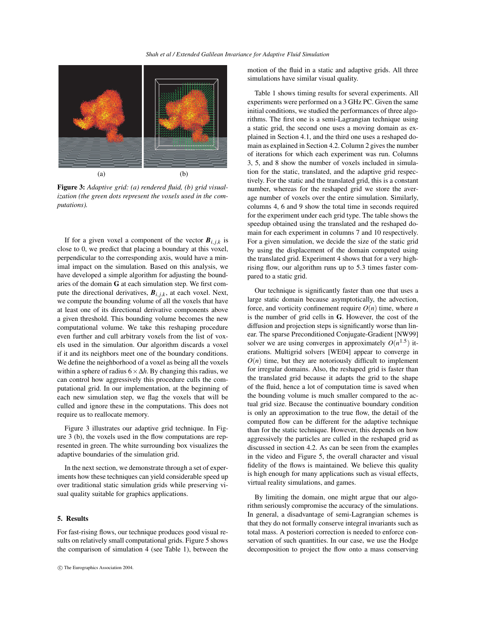

**Figure 3:** *Adaptive grid: (a) rendered fluid, (b) grid visualization (the green dots represent the voxels used in the computations).*

If for a given voxel a component of the vector  $\mathbf{B}_{i,j,k}$  is close to 0, we predict that placing a boundary at this voxel, perpendicular to the corresponding axis, would have a minimal impact on the simulation. Based on this analysis, we have developed a simple algorithm for adjusting the boundaries of the domain **G** at each simulation step. We first compute the directional derivatives,  $B_{i,j,k}$ , at each voxel. Next, we compute the bounding volume of all the voxels that have at least one of its directional derivative components above a given threshold. This bounding volume becomes the new computational volume. We take this reshaping procedure even further and cull arbitrary voxels from the list of voxels used in the simulation. Our algorithm discards a voxel if it and its neighbors meet one of the boundary conditions. We define the neighborhood of a voxel as being all the voxels within a sphere of radius 6×∆*h*. By changing this radius, we can control how aggressively this procedure culls the computational grid. In our implementation, at the beginning of each new simulation step, we flag the voxels that will be culled and ignore these in the computations. This does not require us to reallocate memory.

Figure 3 illustrates our adaptive grid technique. In Figure 3 (b), the voxels used in the flow computations are represented in green. The white surrounding box visualizes the adaptive boundaries of the simulation grid.

In the next section, we demonstrate through a set of experiments how these techniques can yield considerable speed up over traditional static simulation grids while preserving visual quality suitable for graphics applications.

#### **5. Results**

For fast-rising flows, our technique produces good visual results on relatively small computational grids. Figure 5 shows the comparison of simulation 4 (see Table 1), between the motion of the fluid in a static and adaptive grids. All three simulations have similar visual quality.

Table 1 shows timing results for several experiments. All experiments were performed on a 3 GHz PC. Given the same initial conditions, we studied the performances of three algorithms. The first one is a semi-Lagrangian technique using a static grid, the second one uses a moving domain as explained in Section 4.1, and the third one uses a reshaped domain as explained in Section 4.2. Column 2 gives the number of iterations for which each experiment was run. Columns 3, 5, and 8 show the number of voxels included in simulation for the static, translated, and the adaptive grid respectively. For the static and the translated grid, this is a constant number, whereas for the reshaped grid we store the average number of voxels over the entire simulation. Similarly, columns 4, 6 and 9 show the total time in seconds required for the experiment under each grid type. The table shows the speedup obtained using the translated and the reshaped domain for each experiment in columns 7 and 10 respectively. For a given simulation, we decide the size of the static grid by using the displacement of the domain computed using the translated grid. Experiment 4 shows that for a very highrising flow, our algorithm runs up to 5.3 times faster compared to a static grid.

Our technique is significantly faster than one that uses a large static domain because asymptotically, the advection, force, and vorticity confinement require  $O(n)$  time, where *n* is the number of grid cells in **G**. However, the cost of the diffusion and projection steps is significantly worse than linear. The sparse Preconditioned Conjugate-Gradient [NW99] solver we are using converges in approximately  $O(n^{1.5})$  iterations. Multigrid solvers [WE04] appear to converge in  $O(n)$  time, but they are notoriously difficult to implement for irregular domains. Also, the reshaped grid is faster than the translated grid because it adapts the grid to the shape of the fluid, hence a lot of computation time is saved when the bounding volume is much smaller compared to the actual grid size. Because the continuative boundary condition is only an approximation to the true flow, the detail of the computed flow can be different for the adaptive technique than for the static technique. However, this depends on how aggressively the particles are culled in the reshaped grid as discussed in section 4.2. As can be seen from the examples in the video and Figure 5, the overall character and visual fidelity of the flows is maintained. We believe this quality is high enough for many applications such as visual effects, virtual reality simulations, and games.

By limiting the domain, one might argue that our algorithm seriously compromise the accuracy of the simulations. In general, a disadvantage of semi-Lagrangian schemes is that they do not formally conserve integral invariants such as total mass. A posteriori correction is needed to enforce conservation of such quantities. In our case, we use the Hodge decomposition to project the flow onto a mass conserving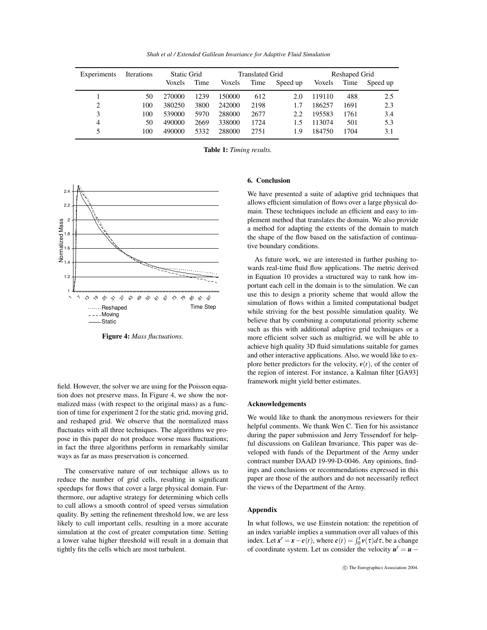*Shah et al / Extended Galilean Invariance for Adaptive Fluid Simulation*

| Experiments | <b>Iterations</b> | <b>Static Grid</b> |      | Translated Grid |      |          | Reshaped Grid |      |          |
|-------------|-------------------|--------------------|------|-----------------|------|----------|---------------|------|----------|
|             |                   | Voxels             | Time | Voxels          | Time | Speed up | Voxels        | Time | Speed up |
|             | 50                | 270000             | 1239 | 150000          | 612  | 2.0      | 119110        | 488  | 2.5      |
| 2           | 100               | 380250             | 3800 | 242000          | 2198 | 1.7      | 186257        | 1691 | 2.3      |
| 3           | 100               | 539000             | 5970 | 288000          | 2677 | 2.2      | 195583        | 1761 | 3.4      |
| 4           | 50                | 490000             | 2669 | 338000          | 1724 | 1.5      | 113074        | 501  | 5.3      |
| 5           | 100               | 490000             | 5332 | 288000          | 2751 | 1.9      | 184750        | 1704 | 3.1      |

**Table 1:** *Timing results.*



**Figure 4:** *Mass fluctuations.*

field. However, the solver we are using for the Poisson equation does not preserve mass. In Figure 4, we show the normalized mass (with respect to the original mass) as a function of time for experiment 2 for the static grid, moving grid, and reshaped grid. We observe that the normalized mass fluctuates with all three techniques. The algorithms we propose in this paper do not produce worse mass fluctuations; in fact the three algorithms perform in remarkably similar ways as far as mass preservation is concerned.

The conservative nature of our technique allows us to reduce the number of grid cells, resulting in significant speedups for flows that cover a large physical domain. Furthermore, our adaptive strategy for determining which cells to cull allows a smooth control of speed versus simulation quality. By setting the refinement threshold low, we are less likely to cull important cells, resulting in a more accurate simulation at the cost of greater computation time. Setting a lower value higher threshold will result in a domain that tightly fits the cells which are most turbulent.

# **6. Conclusion**

We have presented a suite of adaptive grid techniques that allows efficient simulation of flows over a large physical domain. These techniques include an efficient and easy to implement method that translates the domain. We also provide a method for adapting the extents of the domain to match the shape of the flow based on the satisfaction of continuative boundary conditions.

As future work, we are interested in further pushing towards real-time fluid flow applications. The metric derived in Equation 10 provides a structured way to rank how important each cell in the domain is to the simulation. We can use this to design a priority scheme that would allow the simulation of flows within a limited computational budget while striving for the best possible simulation quality. We believe that by combining a computational priority scheme such as this with additional adaptive grid techniques or a more efficient solver such as multigrid, we will be able to achieve high quality 3D fluid simulations suitable for games and other interactive applications. Also, we would like to explore better predictors for the velocity,  $v(t)$ , of the center of the region of interest. For instance, a Kalman filter [GA93] framework might yield better estimates.

## **Acknowledgements**

We would like to thank the anonymous reviewers for their helpful comments. We thank Wen C. Tien for his assistance during the paper submission and Jerry Tessendorf for helpful discussions on Galilean Invariance. This paper was developed with funds of the Department of the Army under contract number DAAD 19-99-D-0046. Any opinions, findings and conclusions or recommendations expressed in this paper are those of the authors and do not necessarily reflect the views of the Department of the Army.

# **Appendix**

In what follows, we use Einstein notation: the repetition of an index variable implies a summation over all values of this index. Let  $\mathbf{x}' = \mathbf{x} - \mathbf{c}(t)$ , where  $\mathbf{c}(t) = \int_0^t v(\tau) d\tau$ , be a change of coordinate system. Let us consider the velocity  $u' = u -$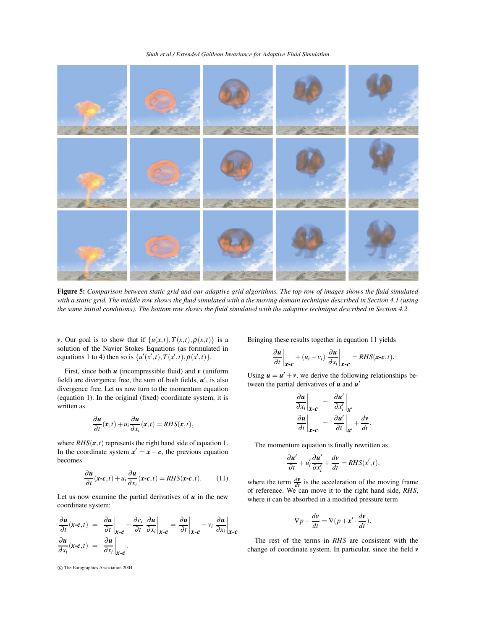*Shah et al / Extended Galilean Invariance for Adaptive Fluid Simulation*



Figure 5: Comparison between static grid and our adaptive grid algorithms. The top row of images shows the fluid simulated with a static grid. The middle row shows the fluid simulated with a the moving domain technique described in Section 4.1 (using the same initial conditions). The bottom row shows the fluid simulated with the adaptive technique described in Section 4.2.

*v*. Our goal is to show that if  $\{u(x,t), T(x,t), \rho(x,t)\}$  is a solution of the Navier Stokes Equations (as formulated in equations 1 to 4) then so is  $\{u'(x',t), T(x',t), \rho(x',t)\}.$ 

First, since both *u* (incompressible fluid) and *v* (uniform field) are divergence free, the sum of both fields,  $u'$ , is also divergence free. Let us now turn to the momentum equation (equation 1). In the original (fixed) coordinate system, it is written as

$$
\frac{\partial u}{\partial t}(x,t) + u_i \frac{\partial u}{\partial x_i}(x,t) = RHS(x,t),
$$

where  $RHS(x, t)$  represents the right hand side of equation 1. In the coordinate system  $x' = x - c$ , the previous equation becomes

$$
\frac{\partial u}{\partial t}(\mathbf{x}\cdot\mathbf{c},t) + u_i \frac{\partial u}{\partial x_i}(\mathbf{x}\cdot\mathbf{c},t) = RHS(\mathbf{x}\cdot\mathbf{c},t). \tag{11}
$$

Let us now examine the partial derivatives of  *in the new* coordinate system:

$$
\frac{\partial u}{\partial t}(\mathbf{x}\cdot\mathbf{c},t) = \frac{\partial u}{\partial t}\Big|_{\mathbf{x}\cdot\mathbf{c}} - \frac{\partial c_i}{\partial t} \frac{\partial u}{\partial x_i}\Big|_{\mathbf{x}\cdot\mathbf{c}} = \frac{\partial u}{\partial t}\Big|_{\mathbf{x}\cdot\mathbf{c}} - v_i \frac{\partial u}{\partial x_i}\Big|_{\mathbf{x}\cdot\mathbf{c}}
$$

$$
\frac{\partial u}{\partial x_i}(\mathbf{x}\cdot\mathbf{c},t) = \frac{\partial u}{\partial x_i}\Big|_{\mathbf{x}\cdot\mathbf{c}}.
$$

Bringing these results together in equation 11 yields

$$
\left.\frac{\partial \boldsymbol{u}}{\partial t}\right|_{\boldsymbol{x-c}} + (u_i - v_i) \left.\frac{\partial \boldsymbol{u}}{\partial x_i}\right|_{\boldsymbol{x-c}} = RHS(\boldsymbol{x-c},t).
$$

Using  $u = u' + v$ , we derive the following relationships between the partial derivatives of  $u$  and  $u'$ 

$$
\frac{\partial u}{\partial x_i}\Big|_{\mathbf{x}\sim\mathbf{c}} = \frac{\partial u'}{\partial x'_i}\Big|_{\mathbf{x}'}
$$

$$
\frac{\partial u}{\partial t}\Big|_{\mathbf{x}\sim\mathbf{c}} = \frac{\partial u'}{\partial t}\Big|_{\mathbf{x}'} + \frac{dv}{dt}
$$

.

The momentum equation is finally rewritten as

$$
\frac{\partial u'}{\partial t} + u'_i \frac{\partial u'}{\partial x'_i} + \frac{dv}{dt} = RHS(x', t),
$$

where the term  $\frac{d\mathbf{v}}{dt}$  is the acceleration of the moving frame of reference. We can move it to the right hand side, *RHS*, where it can be absorbed in a modified pressure term

$$
\nabla p + \frac{dv}{dt} = \nabla (p + x' \cdot \frac{dv}{dt}).
$$

The rest of the terms in *RHS* are consistent with the change of coordinate system. In particular, since the field *v*

c The Eurographics Association 2004.